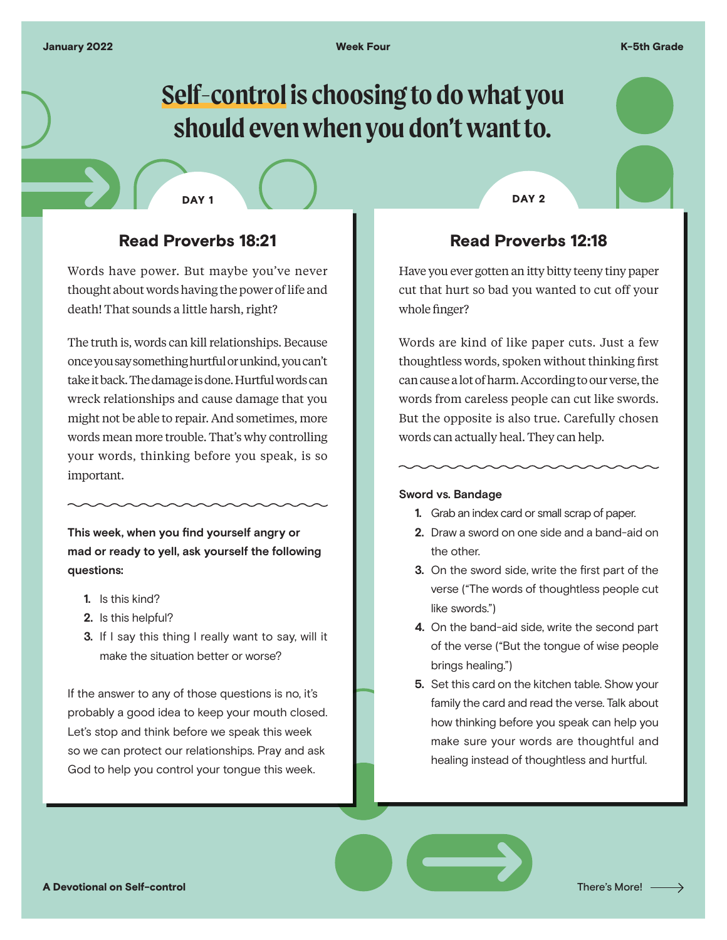# **Self-control is choosing to do what you should even when you don't want to.**

## Read Proverbs 18:21

Words have power. But maybe you've never thought about words having the power of life and death! That sounds a little harsh, right?

The truth is, words can kill relationships. Because once you say something hurtful or unkind, you can't take it back. The damage is done. Hurtful words can wreck relationships and cause damage that you might not be able to repair. And sometimes, more words mean more trouble. That's why controlling your words, thinking before you speak, is so important.

**This week, when you find yourself angry or mad or ready to yell, ask yourself the following questions:**

- **1.** Is this kind?
- **2.** Is this helpful?
- **3.** If I say this thing I really want to say, will it make the situation better or worse?

If the answer to any of those questions is no, it's probably a good idea to keep your mouth closed. Let's stop and think before we speak this week so we can protect our relationships. Pray and ask God to help you control your tongue this week.

DAY 1 DAY 2

## Read Proverbs 12:18

Have you ever gotten an itty bitty teeny tiny paper cut that hurt so bad you wanted to cut off your whole finger?

Words are kind of like paper cuts. Just a few thoughtless words, spoken without thinking first can cause a lot of harm. According to our verse, the words from careless people can cut like swords. But the opposite is also true. Carefully chosen words can actually heal. They can help.

#### **Sword vs. Bandage**

- **1.** Grab an index card or small scrap of paper.
- **2.** Draw a sword on one side and a band-aid on the other.
- **3.** On the sword side, write the first part of the verse ("The words of thoughtless people cut like swords.")
- **4.** On the band-aid side, write the second part of the verse ("But the tongue of wise people brings healing.")
- **5.** Set this card on the kitchen table. Show your family the card and read the verse. Talk about how thinking before you speak can help you make sure your words are thoughtful and healing instead of thoughtless and hurtful.

A Devotional on Self-control